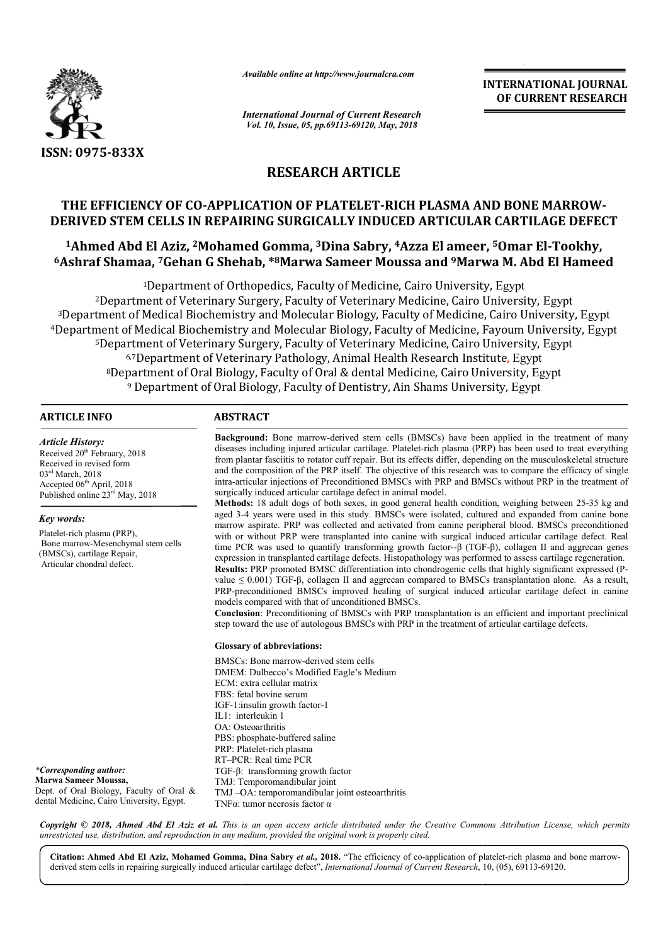

*Available online at http://www.journalcra.com*

*International Journal of Current Research Vol. 10, Issue, 05, pp.69113-69120, May, 2018*

**INTERNATIONAL JOURNAL OF CURRENT RESEARCH**

# **RESEARCH ARTICLE**

# **THE EFFICIENCY OF CO-APPLICATION OF PLATELET APPLICATION PLATELET-RICH PLASMA AND BONE MARROW RICH MARROW-DERIVED STEM CELLS IN REPAIRING SURGICALLY INDUCED ARTICULAR CARTILAGE DEFECT DEFECT**

**1Ahmed Abd El Aziz, 2Mohamed Mohamed Gomma, 3Dina Sabry, 4Azza El ameer, Azza 5Omar El-Tookhy, 6Ashraf Shamaa, 7Gehan G Shehab, Gehan \*8Marwa Sameer Moussa and 9Marwa M. Abd El Hameed Marwa** 

<sup>1</sup>Department of Orthopedics, Faculty of Medicine, Cairo University, Egypt 2Department of Veterinary Surgery, Faculty of Veterinary Medicine, Cairo University, Egypt <sup>3</sup>Department of Medical Biochemistry and Molecular Biology, Faculty of Medicine, Cairo University, Egypt 4Department of Medical Biochemistry and Molecular Biology, Faculty of Medicine, Fayoum University, Egypt <sup>5</sup>Department of Veterinary Surgery, Faculty of Veterinary Medicine, Cairo University, Egypt 6,7Department of Veterinary Pathology, Animal Health Research Institute, Egypt <sup>8</sup>Department of Oral Biology, Faculty of Oral & dental Medicine, Cairo University, Egypt <sup>9</sup> Department of Oral Biology, Faculty of Dentistry, Ain Shams University, Egypt

### **ARTICLE INFO ABSTRACT**

*Article History:* Received 20<sup>th</sup> February, 2018 Received in revised form 03<sup>rd</sup> March, 2018 Accepted 06<sup>th</sup> April, 2018 Published online 23<sup>rd</sup> May, 2018

#### *Key words:*

Platelet-rich plasma (PRP), Bone marrow-Mesenchymal stem cells (BMSCs), cartilage Repair, Articular chondral defect.

*\*Corresponding author:* **Marwa Sameer Moussa,** Dept. of Oral Biology, Faculty of Oral & dental Medicine, Cairo University, Egypt.

**Background Background:** Bone marrow-derived stem cells (BMSCs) have been applied in the treatment of many diseases including injured articular cartilage. Platelet-rich plasma (PRP) has been used to treat everything from plantar fasciitis to rotator cuff repair. But its effects differ, depending on the musculoskeletal structure and the composition of the PRP itself. The objective of this research intra-articular injections of Preconditioned BMSCs with PRP and BMSCs without PRP in the treatment of surgically induced articular cartilage defect in animal model. **Background:** Bone marrow-derived stem cells (BMSCs) have been applied in the treatment of many diseases including injured articular cartilage. Platelet-rich plasma (PRP) has been used to treat everything from plantar fasc

**Methods:** 18 adult dogs of both sexes, in good general health condition, weighing between 25-35 kg and aged 3-4 years were used in this study. BMSCs were isolated, cultured and expanded from canine bone marrow aspirate. PRP was collected and activated from canine peripheral blood. BMSCs preconditioned marrow aspirate. PRP was collected and activated from canine peripheral blood. BMSCs preconditioned with or without PRP were transplanted into canine with surgical induced articular cartilage defect. Real time PCR was used to quantify transforming growth factor--β (TGF-β), collagen II and aggrecan genes expression in transplanted cartilage defects. Histopathology was performed to assess cartilage regeneration. expression in transplanted cartilage defects. Histopathology was performed to assess cartilage regeneration.<br>Results: PRP promoted BMSC differentiation into chondrogenic cells that highly significant expressed (Pvalue  $\leq$  0.001) TGF-β, collagen II and aggrecan compared to BMSCs transplantation alone. As a result, value  $\leq 0.001$ ) TGF- $\beta$ , collagen II and aggrecan compared to BMSCs transplantation alone. As a result, PRP-preconditioned BMSCs improved healing of surgical induced articular cartilage defect in canine models compared with that of unconditioned BMSCs. PRP-preconditioned BMSCs improved healing of surgical induced articular cartilage defect in canine models compared with that of unconditioned BMSCs.<br>**Conclusion**: Preconditioning of BMSCs with PRP transplantation is an eff

Conclusion: Preconditioning of BMSCs with PRP transplantation is an efficient and important step toward the use of autologous BMSCs with PRP in the treatment of articular cartilage defects.

#### **Glossary of abbreviations:**

BMSCs: Bone marrow-derived stem cells DMEM: Dulbecco's Modified Eagle's Medium ECM: extra cellular matrix FBS: fetal bovine serum IGF-1:insulin growth factor-1 IL1: interleukin 1 OA: Osteoarthritis OA: Osteoarthritis<br>PBS: phosphate-buffered saline PRP: Platelet : Platelet-rich plasma RT–PCR PCR: Real time PCR TGF-β: transforming growth factor TMJ: Temporomandibular joint TMJ-OA: temporomandibular joint osteoarthritis TNFα: tumor necrosis factor α

Copyright © 2018, Ahmed Abd El Aziz et al. This is an open access article distributed under the Creative Commons Attribution License, which permits *unrestricted use, distribution, and reproduction in any medium, provided the original work is properly cited.*

**INTERNATIONAL PROPERTY** Citation: Ahmed Abd El Aziz, Mohamed Gomma, Dina Sabry *et al.*, 2018. "The efficiency of co-application of platelet-rich plasma and bone marrowderived stem cells in repairing surgically induced articular cartilage defect", *International Journal of Current Research*, 10, (05), 69113-69120.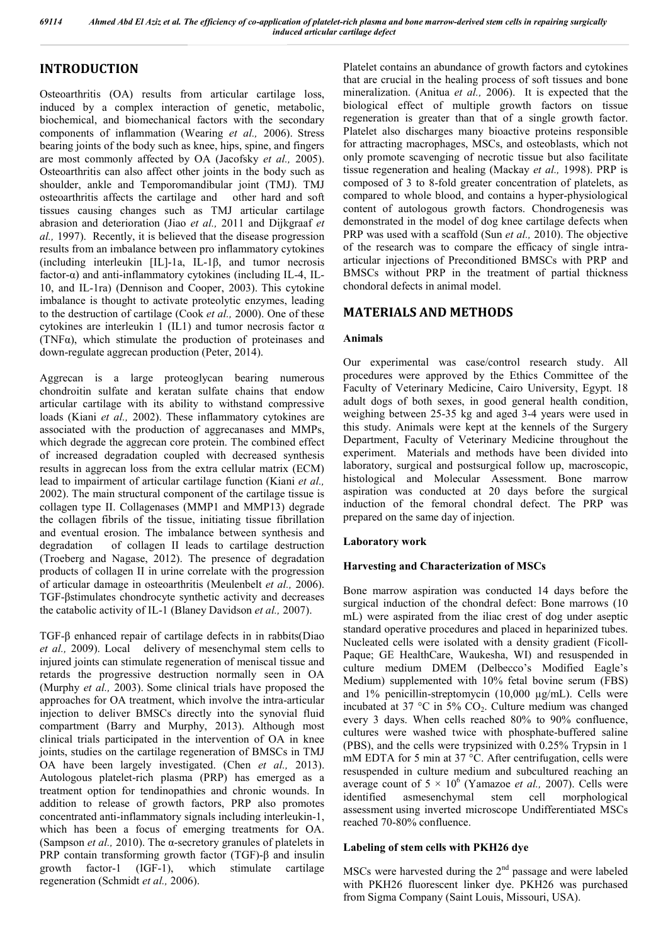# **INTRODUCTION**

Osteoarthritis (OA) results from articular cartilage loss, induced by a complex interaction of genetic, metabolic, biochemical, and biomechanical factors with the secondary components of inflammation (Wearing *et al.,* 2006). Stress bearing joints of the body such as knee, hips, spine, and fingers are most commonly affected by OA (Jacofsky *et al.,* 2005). Osteoarthritis can also affect other joints in the body such as shoulder, ankle and Temporomandibular joint (TMJ). TMJ osteoarthritis affects the cartilage and other hard and soft tissues causing changes such as TMJ articular cartilage abrasion and deterioration (Jiao *et al.,* 2011 and Dijkgraaf *et al.,* 1997). Recently, it is believed that the disease progression results from an imbalance between pro inflammatory cytokines (including interleukin [IL]-1a, IL-1β, and tumor necrosis factor-α) and anti-inflammatory cytokines (including IL-4, IL-10, and IL-1ra) (Dennison and Cooper, 2003). This cytokine imbalance is thought to activate proteolytic enzymes, leading to the destruction of cartilage (Cook *et al.,* 2000). One of these cytokines are interleukin 1 (IL1) and tumor necrosis factor  $\alpha$ (TNFα), which stimulate the production of proteinases and down-regulate aggrecan production (Peter, 2014).

Aggrecan is a large proteoglycan bearing numerous chondroitin sulfate and keratan sulfate chains that endow articular cartilage with its ability to withstand compressive loads (Kiani *et al.,* 2002). These inflammatory cytokines are associated with the production of aggrecanases and MMPs, which degrade the aggrecan core protein. The combined effect of increased degradation coupled with decreased synthesis results in aggrecan loss from the extra cellular matrix (ECM) lead to impairment of articular cartilage function (Kiani *et al.,*  2002). The main structural component of the cartilage tissue is collagen type II. Collagenases (MMP1 and MMP13) degrade the collagen fibrils of the tissue, initiating tissue fibrillation and eventual erosion. The imbalance between synthesis and degradation of collagen II leads to cartilage destruction (Troeberg and Nagase, 2012). The presence of degradation products of collagen II in urine correlate with the progression of articular damage in osteoarthritis (Meulenbelt *et al.,* 2006). TGF-βstimulates chondrocyte synthetic activity and decreases the catabolic activity of IL-1 (Blaney Davidson *et al.,* 2007).

TGF-β enhanced repair of cartilage defects in in rabbits(Diao *et al.,* 2009). Local delivery of mesenchymal stem cells to injured joints can stimulate regeneration of meniscal tissue and retards the progressive destruction normally seen in OA (Murphy *et al.,* 2003). Some clinical trials have proposed the approaches for OA treatment, which involve the intra-articular injection to deliver BMSCs directly into the synovial fluid compartment (Barry and Murphy, 2013). Although most clinical trials participated in the intervention of OA in knee joints, studies on the cartilage regeneration of BMSCs in TMJ OA have been largely investigated. (Chen *et al.,* 2013). Autologous platelet-rich plasma (PRP) has emerged as a treatment option for tendinopathies and chronic wounds. In addition to release of growth factors, PRP also promotes concentrated anti-inflammatory signals including interleukin-1, which has been a focus of emerging treatments for OA. (Sampson *et al.,* 2010). The α-secretory granules of platelets in PRP contain transforming growth factor (TGF)-β and insulin growth factor-1 (IGF-1), which stimulate cartilage regeneration (Schmidt *et al.,* 2006).

Platelet contains an abundance of growth factors and cytokines that are crucial in the healing process of soft tissues and bone mineralization. (Anitua *et al.,* 2006). It is expected that the biological effect of multiple growth factors on tissue regeneration is greater than that of a single growth factor. Platelet also discharges many bioactive proteins responsible for attracting macrophages, MSCs, and osteoblasts, which not only promote scavenging of necrotic tissue but also facilitate tissue regeneration and healing (Mackay *et al.,* 1998). PRP is composed of 3 to 8-fold greater concentration of platelets, as compared to whole blood, and contains a hyper-physiological content of autologous growth factors. Chondrogenesis was demonstrated in the model of dog knee cartilage defects when PRP was used with a scaffold (Sun *et al.,* 2010). The objective of the research was to compare the efficacy of single intraarticular injections of Preconditioned BMSCs with PRP and BMSCs without PRP in the treatment of partial thickness chondoral defects in animal model.

# **MATERIALS AND METHODS**

## **Animals**

Our experimental was case/control research study. All procedures were approved by the Ethics Committee of the Faculty of Veterinary Medicine, Cairo University, Egypt. 18 adult dogs of both sexes, in good general health condition, weighing between 25-35 kg and aged 3-4 years were used in this study. Animals were kept at the kennels of the Surgery Department, Faculty of Veterinary Medicine throughout the experiment. Materials and methods have been divided into laboratory, surgical and postsurgical follow up, macroscopic, histological and Molecular Assessment. Bone marrow aspiration was conducted at 20 days before the surgical induction of the femoral chondral defect. The PRP was prepared on the same day of injection.

## **Laboratory work**

## **Harvesting and Characterization of MSCs**

Bone marrow aspiration was conducted 14 days before the surgical induction of the chondral defect: Bone marrows (10 mL) were aspirated from the iliac crest of dog under aseptic standard operative procedures and placed in heparinized tubes. Nucleated cells were isolated with a density gradient (Ficoll-Paque; GE HealthCare, Waukesha, WI) and resuspended in culture medium DMEM (Delbecco's Modified Eagle's Medium) supplemented with 10% fetal bovine serum (FBS) and 1% penicillin-streptomycin (10,000 µg/mL). Cells were incubated at 37  $\degree$ C in 5% CO<sub>2</sub>. Culture medium was changed every 3 days. When cells reached 80% to 90% confluence, cultures were washed twice with phosphate-buffered saline (PBS), and the cells were trypsinized with 0.25% Trypsin in 1 mM EDTA for 5 min at 37 °C. After centrifugation, cells were resuspended in culture medium and subcultured reaching an average count of  $5 \times 10^6$  (Yamazoe *et al.*, 2007). Cells were identified asmesenchymal stem cell morphological assessment using inverted microscope Undifferentiated MSCs reached 70-80% confluence.

## **Labeling of stem cells with PKH26 dye**

MSCs were harvested during the 2nd passage and were labeled with PKH26 fluorescent linker dye. PKH26 was purchased from Sigma Company (Saint Louis, Missouri, USA).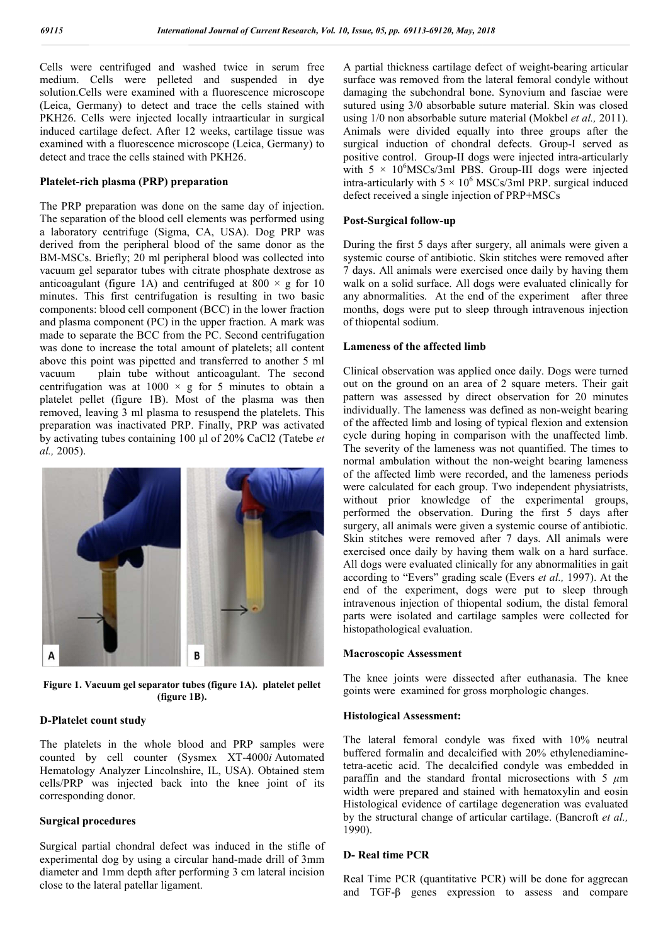Cells were centrifuged and washed twice in serum free medium. Cells were pelleted and suspended in dye solution.Cells were examined with a fluorescence microscope (Leica, Germany) to detect and trace the cells stained with PKH26. Cells were injected locally intraarticular in surgical induced cartilage defect. After 12 weeks, cartilage tissue was examined with a fluorescence microscope (Leica, Germany) to detect and trace the cells stained with PKH26.

#### **Platelet-rich plasma (PRP) preparation**

The PRP preparation was done on the same day of injection. The separation of the blood cell elements was performed using a laboratory centrifuge (Sigma, CA, USA). Dog PRP was derived from the peripheral blood of the same donor as the BM-MSCs. Briefly; 20 ml peripheral blood was collected into vacuum gel separator tubes with citrate phosphate dextrose as anticoagulant (figure 1A) and centrifuged at  $800 \times g$  for 10 minutes. This first centrifugation is resulting in two basic components: blood cell component (BCC) in the lower fraction and plasma component (PC) in the upper fraction. A mark was made to separate the BCC from the PC. Second centrifugation was done to increase the total amount of platelets; all content above this point was pipetted and transferred to another 5 ml vacuum plain tube without anticoagulant. The second centrifugation was at  $1000 \times g$  for 5 minutes to obtain a platelet pellet (figure 1B). Most of the plasma was then removed, leaving 3 ml plasma to resuspend the platelets. This preparation was inactivated PRP. Finally, PRP was activated by activating tubes containing 100 μl of 20% CaCl2 (Tatebe *et al.,* 2005). intertigal intraatricular in surgical<br>After 12 weeks, cartilage tissue was<br>nnce microscope (Leica, Germany) to<br>tained with PKH26.<br>**P) preparation**<br>d cell elements was performed using<br>Sigma, CA, USA). Dog PRP was<br>ral blood



**Figure 1. Vacuum gel separator tubes (figure 1A). platelet pellet (figure 1B).**

#### **D-Platelet count study**

The platelets in the whole blood and PRP samples were counted by cell counter (Sysmex XT-4000*i* Automated Hematology Analyzer Lincolnshire, IL, USA). Obtained stem cells/PRP was injected back into the knee joint of its corresponding donor.

#### **Surgical procedures**

Surgical partial chondral defect was induced in the stifle of experimental dog by using a circular hand-made drill of 3mm diameter and 1mm depth after performing 3 cm lateral incision close to the lateral patellar ligament.

surface was removed from the lateral femoral condyle without damaging the subchondral bone. Synovium and fasciae were sutured using 3/0 absorbable suture material. Skin was closed using  $1/0$  non absorbable suture material (Mokbel *et al.*, 2011). Animals were divided equally into three groups after the surgical induction of chondral defects. Group-I served as positive control. Group-II dogs were injected intra-articularly with  $5 \times 10^6$ MSCs/3ml PBS. Group-III dogs were injected intra-articularly with  $5 \times 10^6$  MSCs/3ml PRP. surgical induced defect received a single injection of PRP+MSCs A partial thickness cartilage defect of weight-bearing articular from the lateral femoral condyle without<br>the subchondral bone. Synovium and fasciae were<br>ing 3/0 absorbable suture material. Skin was closed<br>ion absorbable suture material (Mokbel *et al.*, 2011).

#### **Post-Surgical follow-up**

During the first 5 days after surgery, all animals were given a systemic course of antibiotic. Skin stitches were removed after 7 days. All animals were exercised once daily by having them walk on a solid surface. All dogs were evaluated clinically for any abnormalities. At the end of the experiment after three months, dogs were put to sleep through intravenous injection of thiopental sodium. defect received a single injection of PRP+MSCs<br> **Post-Surgical follow-up**<br>
During the first 5 days after surgery, all animals were given a<br>
systemic course of antibiotic. Skin stitches were removed after<br>
7 days. All anima

#### Lameness of the affected limb

ce in securities and interaction of chemical defect of weights<br>care a particular thickness carriers as a sense of which and the such certical scales scales care microscope damaging the subchordar bare. Synovian and (Mo an Clinical observation was applied once daily. Dogs were turned out on the ground on an area of 2 square meters. Their gait pattern was assessed by direct observation for 20 minutes individually. The lameness was defined as non-weight bearing of the affected limb and losing of typical flexion and extension of the affected limb and losing of typical flexion and extension cycle during hoping in comparison with the unaffected limb. The severity of the lameness was not quantified. The times to The severity of the lameness was not quantified. The times to normal ambulation without the non-weight bearing lameness of the affected limb were recorded, and the lameness periods of the affected limb were recorded, and the lameness periods were calculated for each group. Two independent physiatrists, without prior knowledge of the experimental groups, performed the observation. During the first 5 days after surgery, all animals were given a systemic course of antibiotic. Skin stitches were removed after 7 days. All animals were exercised once daily by having them walk on a hard surface. All dogs were evaluated clinically for any abnormalities in gait according to "Evers" grading scale (Evers et al., 1997). At the end of the experiment, dogs were put to sleep through intravenous injection of thiopental sodium, the distal femoral parts were isolated and cartilage samples were collected for histopathological evaluation. observation was applied once daily. Dogs were turned<br>he ground on an area of 2 square meters. Their gait<br>was assessed by direct observation for 20 minutes<br>ally. The lameness was defined as non-weight bearing knowledge of the experimental groups, rmed the observation. During the first 5 days after ry, all animals were given a systemic course of antibiotic. stitches were removed after 7 days. All animals were ised once daily by Friment, dogs were put to sleep<br>ion of thiopental sodium, the distal<br>dd and cartilage samples were colle<br>evaluation.<br>**essment**<br>were dissected after euthanasia. T<br>ined for gross morphologic changes. *n. 69113-69120, May, 2018*<br>
ickness cartilage defect of weight-bearin<br>
ickness cartilage defect of weight-bearin<br>
ickness cartilage defect of weight-bearin<br>
ickness cartilage defect of weight-bearin<br>
in and fashing 3/0 a

#### **Macroscopic Assessment**

The knee joints were dissected after euthanasia. The knee goints were examined for gross morph

#### **Histological Assessment:**

The lateral femoral condyle was fixed with 10% neutral The lateral femoral condyle was fixed with 10% neutral<br>buffered formalin and decalcified with 20% ethylenediaminetetra-acetic acid. The decalcified condyle was embedded in paraffin and the standard frontal microsections with 5 *μ*m width were prepared and stained with hematoxylin and eosin Histological evidence of cartilage degeneration was evaluated by the structural change of articular cartilage. (Bancroft *et al.,* 1990).

#### **D- Real time PCR**

Real Time PCR (quantitative PCR) will be done for aggrecan and TGF-β genes expression to assess and compare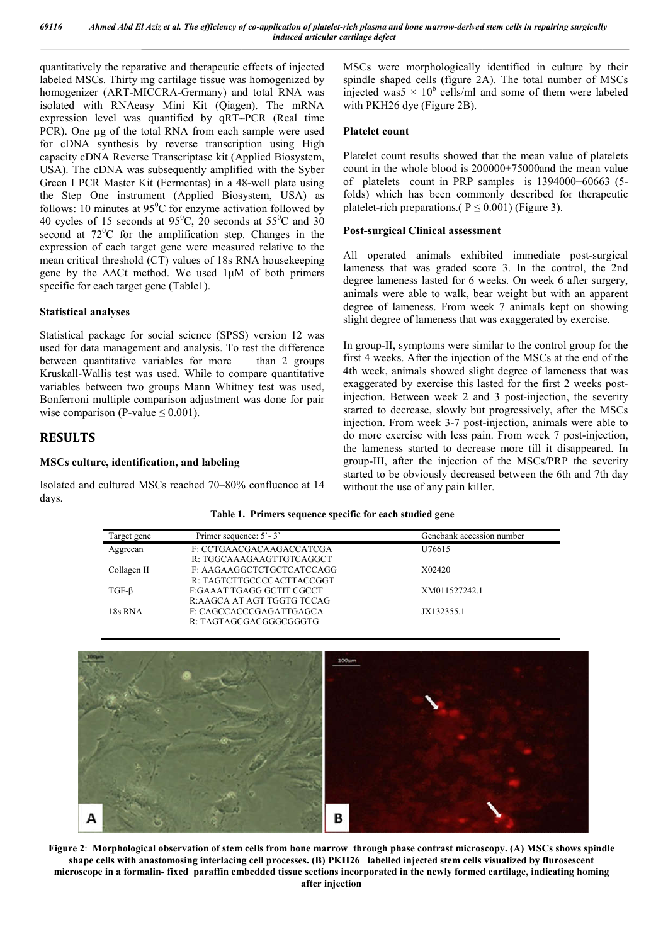quantitatively the reparative and therapeutic effects of injected labeled MSCs. Thirty mg cartilage tissue was homogenized by homogenizer (ART-MICCRA-Germany) and total RNA was isolated with RNAeasy Mini Kit (Qiagen). The mRNA expression level was quantified by qRT–PCR (Real time PCR). One  $\mu$ g of the total RNA from each sample were used for cDNA synthesis by reverse transcription using High capacity cDNA Reverse Transcriptase kit (Applied Biosystem, USA). The cDNA was subsequently amplified with the Syber capacity cDNA Reverse Transcriptase kit (Applied Biosystem, USA). The cDNA was subsequently amplified with the Syber<br>Green I PCR Master Kit (Fermentas) in a 48-well plate using the Step One instrument (Applied Biosystem, USA) as follows: 10 minutes at  $95^{\circ}$ C for enzyme activation followed by 40 cycles of 15 seconds at  $95^{\circ}$ C, 20 seconds at  $55^{\circ}$ C and 30 second at  $72^{\circ}$ C for the amplification step. Changes in the expression of each target gene were measured relative to the mean critical threshold (CT) values of 18s RNA housekeeping gene by the  $\Delta\Delta$ Ct method. We used  $1\mu$ M of both primers specific for each target gene (Table1). vely the reparation and threshold (CTA) was injectived in culture by their terms) in the state of ART-MICCRA C-E-materially identified in culture by their inter-<br>inter-NMCs with RNAssay Mini Kii (Qiagen). The mRNA with PK

## **Statistical analyses**

Statistical package for social science (SPSS) version 12 was used for data management and analysis. To test the difference between quantitative variables for more than 2 groups Kruskall-Wallis test was used. While to compare quantitative variables between two groups Mann Whitney test was used, Bonferroni multiple comparison adjustment was done for pair wise comparison (P-value  $\leq 0.001$ ).

## **RESULTS**

## **MSCs culture, identification, and labeling**

Isolated and cultured MSCs reached 70–80% confluence at 14 days.

MSCs were morphologically identified in culture by their spindle shaped cells (figure 2A). The total number of MSCs injected was5  $\times$  10<sup>6</sup> cells/ml and some of them were labeled with PKH26 dye (Figure 2B).

#### **Platelet count**

Platelet count results showed that the mean value of platelets injected was5  $\times$  10<sup>6</sup> cells/ml and some of them were labeled<br>with PKH26 dye (Figure 2B).<br>**Platelet count**<br>Platelet count results showed that the mean value of platelets<br>count in the whole blood is 200000±75000and the m of platelets count in PRP samples is 1394000±60663 (5 folds) which has been commonly described for therapeutic folds) which has been commonly described f<br>platelet-rich preparations.( $P \le 0.001$ ) (Figure 3).

### **Post-surgical Clinical assessment surgical**

All operated animals exhibited immediate post-surgical lameness that was graded score 3. In the control, the 2nd degree lameness lasted for 6 weeks. On week 6 after surgery, animals were able to walk, bear weight but with an apparent degree of lameness. From week 7 animals kept on showing slight degree of lameness that was exaggerated by exercise. lameness that was graded score 3. In the control, the 2nd degree lameness lasted for 6 weeks. On week 6 after surgery, animals were able to walk, bear weight but with an apparent degree of lameness. From week 7 animals kep

In group-II, symptoms were similar to the control group for the first 4 weeks. After the injection of the MSCs at the end of the 4th week, animals showed slight degree of lameness that was exaggerated by exercise this lasted for the first 2 weeks post injection. Between week 2 and 3 post-injection, the severity started to decrease, slowly but progressively, after the MSCs started to decrease, slowly but progressively, after the MSCs injection. From week 3-7 post-injection, animals were able to do more exercise with less pain. From week 7 post-injection, the lameness started to decrease more till it disappeared. In group-III, after the injection of the MSCs/PRP the severity started to be obviously decreased between the 6th and 7th day without the use of any pain killer.

#### **Table 1 1. Primers sequence specific for each studied gene**

| Target gene | Primer sequence: 5'-3'     | Genebank accession number |
|-------------|----------------------------|---------------------------|
| Aggrecan    | F: CCTGAACGACAAGACCATCGA   | U76615                    |
|             | R: TGGCAAAGAAGTTGTCAGGCT   |                           |
| Collagen II | F: AAGAAGGCTCTGCTCATCCAGG  | X02420                    |
|             | R: TAGTCTTGCCCCACTTACCGGT  |                           |
| $TGF-B$     | F:GAAAT TGAGG GCTIT CGCCT  | XM011527242.1             |
|             | R:AAGCA AT AGT TGGTG TCCAG |                           |
| 18s RNA     | F: CAGCCACCCGAGATTGAGCA    | JX132355.1                |
|             | R: TAGTAGCGACGGGCGGGTG     |                           |



**Figure 2**: **Morphological observation of stem cells from bone marrow through phase contrast microscopy. (A) MSCs shows spindle shape cells with anastomosing interlacing cell processes. (B) PKH26 labelled injected stem cells visualized by flurosescent microscope in a formalin- fixed paraffin embedded tissue sect sections incorporated in the newly formed cartilage, indicating homing after injection**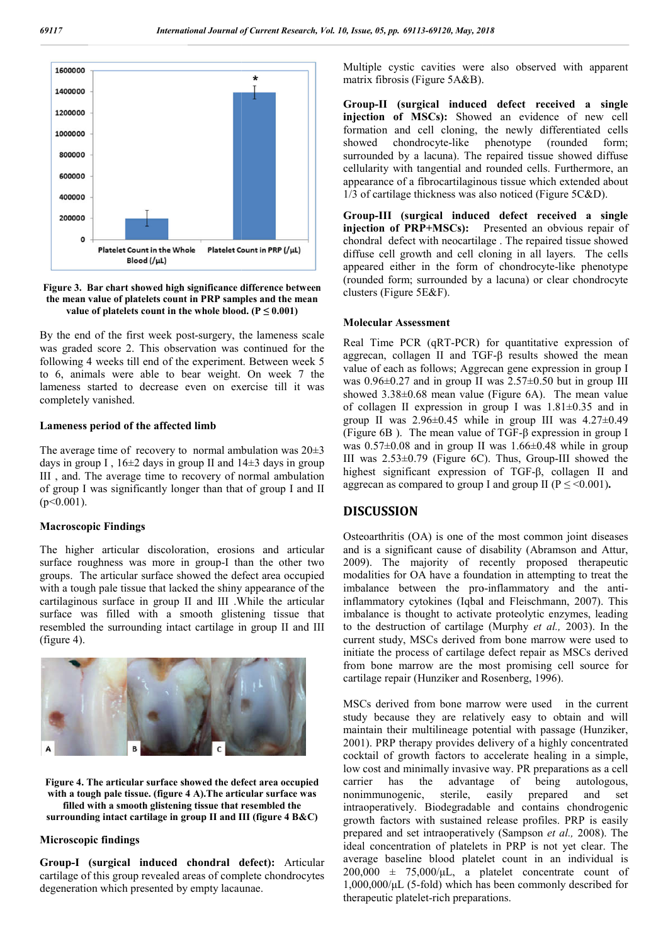

**Figure 3. Bar chart showed high significance difference between the mean value of platelets count in PRP samples and the mean value of platelets count in the whole blood.**  $(P \le 0.001)$ 

By the end of the first week post-surgery, the lameness scale was graded score 2. This observation was continued for the following 4 weeks till end of the experiment. Between week 5 to 6, animals were able to bear weight. On week 7 the lameness started to decrease even on exercise till it was completely vanished. i end of the first week post-surgery, the lameness scale<br>raded score 2. This observation was continued for the<br>ing 4 weeks till end of the experiment. Between week 5<br>animals were able to bear weight. On week 7 the<br>sess st

#### **Lameness period of the affected limb**

The average time of recovery to normal ambulation was  $20\pm3$ days in group I,  $16\pm2$  days in group II and  $14\pm3$  days in group III , and. The average time to recovery of normal ambulation of group I was significantly longer than that of group I and II  $(p<0.001)$ .

#### **Macroscopic Findings**

The higher articular discoloration, erosions and articular surface roughness was more in group-I than the other two groups. The articular surface showed the defect area occupied with a tough pale tissue that lacked the shiny appearance of the cartilaginous surface in group II and III .While the articular surface was filled with a smooth glistening tissue that resembled the surrounding intact cartilage in group II and III (figure 4).



**Figure 4. The articular surface showed the defect area occupied with a tough pale tissue. (figure 4 A).The articular surface was filled with a smooth glistening tissue that resembled the surrounding intact cartilage in group II and III (figure 4 B&C)**

#### **Microscopic findings**

**Group-I (surgical induced chondral defect):** Articular cartilage of this group revealed areas of complete chondrocytes degeneration which presented by empty lacaunae.

Multiple cystic cavities were also observed with apparent matrix fibrosis (Figure 5A&B).

**Group-II (surgical induced defect received a single single injection of MSCs):** Showed an evidence of new cell injection of MSCs): Showed an evidence of new cell formation and cell cloning, the newly differentiated cells showed chondrocyte-like phenotype (rounded form; surrounded by a lacuna). The repaired tissue showed diffuse showed chondrocyte-like phenotype (rounded form;<br>surrounded by a lacuna). The repaired tissue showed diffuse<br>cellularity with tangential and rounded cells. Furthermore, an appearance of a fibrocartilaginous tissue which extended about appearance of a fibrocartilaginous tissue which extended a  $1/3$  of cartilage thickness was also noticed (Figure 5C&D).

**Group-III (surgical induced defect received a single injection of PRP+MSCs):** Presented an obvious repair of chondral defect with neocartilage. The repaired tissue showed diffuse cell growth and cell cloning in all layers. The cells appeared either in the form of chondrocyte-like phenotype (rounded form; surrounded by a lacuna) or clear chondrocyte clusters (Figure 5E&F).

#### **Molecular Assessment**

Real Time PCR (qRT-PCR) for quantitative expression of Real Time PCR (qRT-PCR) for quantitative expression of aggrecan, collagen II and TGF-β results showed the mean value of each as follows; Aggrecan gene expression in group I was  $0.96\pm0.27$  and in group II was  $2.57\pm0.50$  but in group III was  $0.96 \pm 0.27$  and in group II was  $2.57 \pm 0.50$  but in group III showed  $3.38 \pm 0.68$  mean value (Figure 6A). The mean value of collagen II expression in group I was 1.81±0.35 and in of collagen II expression in group I was  $1.81 \pm 0.35$  and in group II was  $4.27 \pm 0.49$ (Figure 6B). The mean value of TGF- $\beta$  expression in group I was  $0.57\pm0.08$  and in group II was  $1.66\pm0.48$  while in group was  $0.57\pm0.08$  and in group II was  $1.66\pm0.48$  while in group III was  $2.53\pm0.79$  (Figure 6C). Thus, Group-III showed the highest significant expression of TGF TGF-β, collagen II and aggrecan as compared to group I and group II ( $P \leq 0.001$ ).

## **DISCUSSION**

Osteoarthritis (OA) is one of the most common joint diseases Osteoarthritis (OA) is one of the most common joint diseases and is a significant cause of disability (Abramson and Attur, 2009). The majority of recently proposed therapeutic modalities for OA have a foundation in attempting to treat the 2009). The majority of recently proposed therapeutic modalities for OA have a foundation in attempting to treat the imbalance between the pro-inflammatory and the antiinflammatory cytokines (Iqbal and Fleischmann, 2007). This imbalance is thought to activate proteolytic enzymes, leading to the destruction of cartilage (Murphy *et al.*, 2003). In the current study, MSCs derived from bone marrow were used to initiate the process of cartilage defect repair as MSCs derived from bone marrow are the most promising cell source for cartilage repair (Hunziker and Rosenberg, 1996). y, MSCs derived from bone marrow were used to<br>process of cartilage defect repair as MSCs derived<br>marrow are the most promising cell source for

MSCs derived from bone marrow were used in the current study because they are relatively easy to obtain and will maintain their multilineage potential with passage (Hunziker, 2001). PRP therapy provides delivery of a highly concentrated 2001). PRP therapy provides delivery of a highly concentrated cocktail of growth factors to accelerate healing in a simple, low cost and minimally invasive way. PR preparations as a cell carrier has the advantage of being autologous, nonimmunogenic, sterile, easily intraoperatively. Biodegradable and contains chondrogenic growth factors with sustained release profiles. PRP is easily growth factors with sustained release profiles. PRP is easily prepared and set intraoperatively (Sampson *et al., 2008*). The ideal concentration of platelets in PRP is not yet clear. The average baseline blood platelet count in an individual is  $200,000 \pm 75,000/\mu L$ , a platelet concentrate count of 1,000,000/μL (5-fold) which has been commonly described for therapeutic platelet-rich preparations. derived from bone marrow were used in the current because they are relatively easy to obtain and will in their multilineage potential with passage (Hunziker, prepared and set *h*, *bane, 68, pp. 69113-69120, <i>May, 2018*<br> *Multiple cystic cavities were also observed with appearing the corresponding the systic conformation followed and evidence of new Gromp-11 (surgical induced defect received a*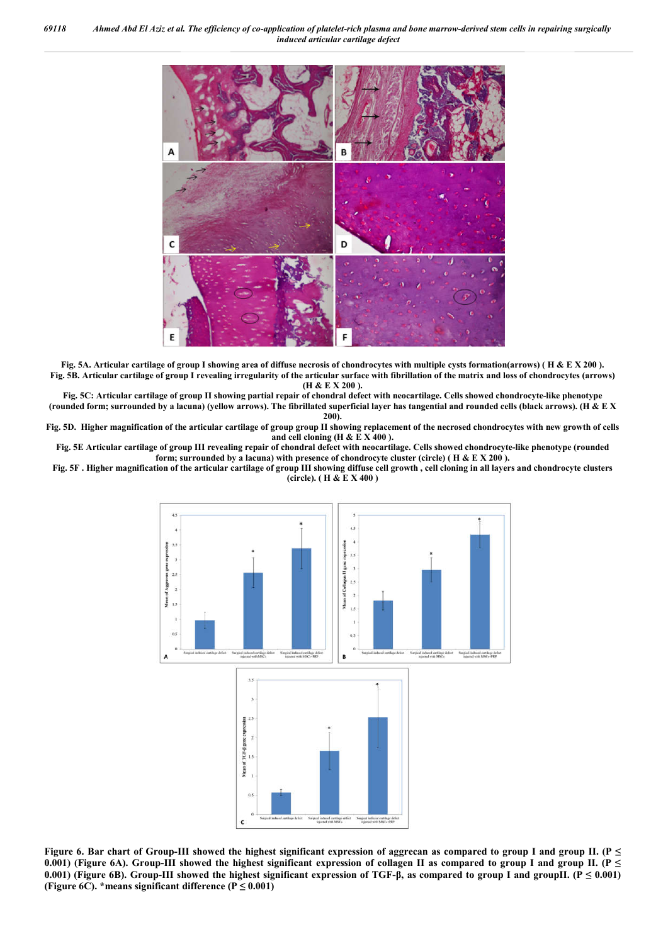

**Fig. 5A. Articular cartilage of group I showing area of diffuse necrosis of chondrocytes with multiple cysts formation(arrows) ( H & E X 200 ). Fig. 5B. Articular cartilage of group I revealing irregularity of the articular surface with fibrillation of the matrix and loss of chondrocytes (arrows) (H & E X 200 ).**

**Fig. 5C: Articular cartilage of group II showing partial repair of chondral defect with neocartilage. Cells showed chondrocyte-like phenotype (rounded form; surrounded by a lacuna) (yellow arrows). The fibrillated superficial layer has tangential and rounded cells (black arrows). (H & E X 200).**

**Fig. 5D. Higher magnification of the articular cartilage of group group II showing replacement of the necrosed chondrocytes with new growth of cells** and cell cloning  $(H & E X 400)$ .

**Fig. 5E Articular cartilage of group III revealing repair of chondral defect with neocartilage. Cells showed chondrocyte-like phenotype (rounded form; surrounded by a lacuna) with presence of chondrocyte cluster (circle) ( H & E X 200 ).**

**Fig. 5F . Higher magnification of the articular cartilage of group III showing diffuse cell growth , cell cloning in all layers and chondrocyte clusters (circle). ( H & E X 400 )**



**Figure 6. Bar chart of Group-III showed the highest significant expression of aggrecan as compared to group I and group II. (P ≤**  0.001) (Figure 6A). Group-III showed the highest significant expression of collagen II as compared to group I and group II. ( $P \le$ **0.001) (Figure 6B). Group-III showed the highest significant expression of TGF-β, as compared to group I and groupII. (P ≤ 0.001)**  (Figure 6C). \*means significant difference  $(P \le 0.001)$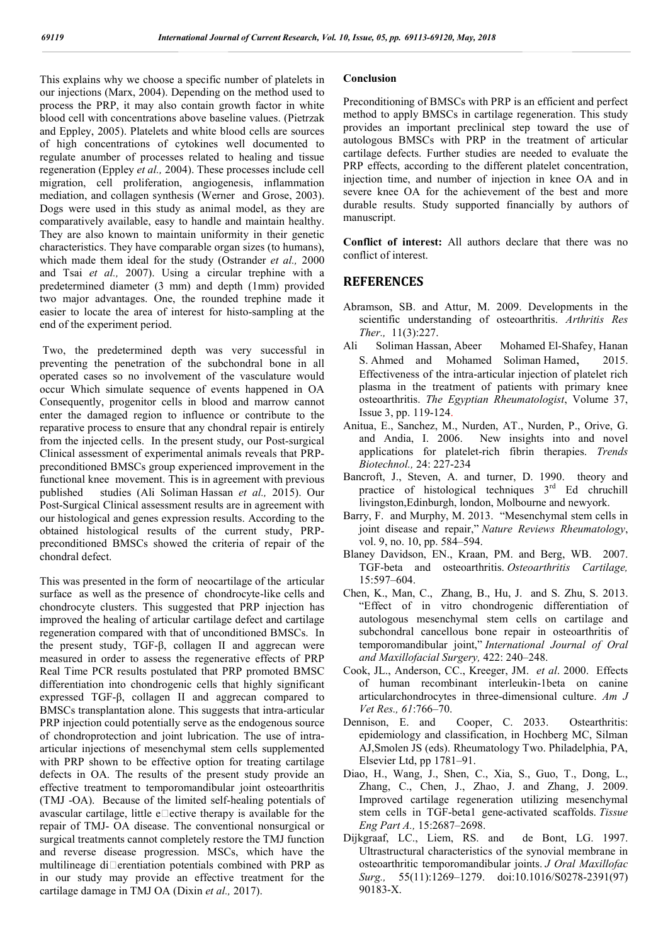This explains why we choose a specific number of platelets in our injections (Marx, 2004). Depending on the method used to process the PRP, it may also contain growth factor in white blood cell with concentrations above baseline values. (Pietrzak and Eppley, 2005). Platelets and white blood cells are sources of high concentrations of cytokines well documented to regulate anumber of processes related to healing and tissue regeneration (Eppley *et al.,* 2004). These processes include cell migration, cell proliferation, angiogenesis, inflammation mediation, and collagen synthesis (Werner and Grose, 2003). Dogs were used in this study as animal model, as they are comparatively available, easy to handle and maintain healthy. They are also known to maintain uniformity in their genetic characteristics. They have comparable organ sizes (to humans), which made them ideal for the study (Ostrander *et al.,* 2000 and Tsai *et al.,* 2007). Using a circular trephine with a predetermined diameter (3 mm) and depth (1mm) provided two major advantages. One, the rounded trephine made it easier to locate the area of interest for histo-sampling at the end of the experiment period.

Two, the predetermined depth was very successful in preventing the penetration of the subchondral bone in all operated cases so no involvement of the vasculature would occur Which simulate sequence of events happened in OA Consequently, progenitor cells in blood and marrow cannot enter the damaged region to influence or contribute to the reparative process to ensure that any chondral repair is entirely from the injected cells. In the present study, our Post-surgical Clinical assessment of experimental animals reveals that PRPpreconditioned BMSCs group experienced improvement in the functional knee movement. This is in agreement with previous published studies (Ali Soliman Hassan *et al.,* 2015). Our Post-Surgical Clinical assessment results are in agreement with our histological and genes expression results. According to the obtained histological results of the current study, PRPpreconditioned BMSCs showed the criteria of repair of the chondral defect.

This was presented in the form of neocartilage of the articular surface as well as the presence of chondrocyte-like cells and chondrocyte clusters. This suggested that PRP injection has improved the healing of articular cartilage defect and cartilage regeneration compared with that of unconditioned BMSCs. In the present study, TGF-β, collagen II and aggrecan were measured in order to assess the regenerative effects of PRP Real Time PCR results postulated that PRP promoted BMSC differentiation into chondrogenic cells that highly significant expressed TGF-β, collagen II and aggrecan compared to BMSCs transplantation alone. This suggests that intra-articular PRP injection could potentially serve as the endogenous source of chondroprotection and joint lubrication. The use of intraarticular injections of mesenchymal stem cells supplemented with PRP shown to be effective option for treating cartilage defects in OA. The results of the present study provide an effective treatment to temporomandibular joint osteoarthritis (TMJ -OA). Because of the limited self-healing potentials of avascular cartilage, little e $\Box$ ective therapy is available for the repair of TMJ- OA disease. The conventional nonsurgical or surgical treatments cannot completely restore the TMJ function and reverse disease progression. MSCs, which have the multilineage di $\square$ erentiation potentials combined with PRP as in our study may provide an effective treatment for the cartilage damage in TMJ OA (Dixin *et al.,* 2017).

#### **Conclusion**

Preconditioning of BMSCs with PRP is an efficient and perfect method to apply BMSCs in cartilage regeneration. This study provides an important preclinical step toward the use of autologous BMSCs with PRP in the treatment of articular cartilage defects. Further studies are needed to evaluate the PRP effects, according to the different platelet concentration, injection time, and number of injection in knee OA and in severe knee OA for the achievement of the best and more durable results. Study supported financially by authors of manuscript.

**Conflict of interest:** All authors declare that there was no conflict of interest.

## **REFERENCES**

- Abramson, SB. and Attur, M. 2009. Developments in the scientific understanding of osteoarthritis. *Arthritis Res Ther.,* 11(3):227.
- Ali Soliman Hassan, Abeer Mohamed El-Shafey, Hanan S. Ahmed and Mohamed Soliman Hamed, 2015. Effectiveness of the intra-articular injection of platelet rich plasma in the treatment of patients with primary knee osteoarthritis. *The Egyptian Rheumatologist*, Volume 37, Issue 3, pp. 119-124.
- Anitua, E., Sanchez, M., Nurden, AT., Nurden, P., Orive, G. and Andia, I. 2006. New insights into and novel applications for platelet-rich fibrin therapies. *Trends Biotechnol.,* 24: 227-234
- Bancroft, J., Steven, A. and turner, D. 1990. theory and practice of histological techniques  $3<sup>rd</sup>$  Ed chruchill livingston,Edinburgh, london, Molbourne and newyork.
- Barry, F. and Murphy, M. 2013. "Mesenchymal stem cells in joint disease and repair," *Nature Reviews Rheumatology*, vol. 9, no. 10, pp. 584–594.
- Blaney Davidson, EN., Kraan, PM. and Berg, WB. 2007. TGF-beta and osteoarthritis. *Osteoarthritis Cartilage,* 15:597–604.
- Chen, K., Man, C., Zhang, B., Hu, J. and S. Zhu, S. 2013. "Effect of in vitro chondrogenic differentiation of autologous mesenchymal stem cells on cartilage and subchondral cancellous bone repair in osteoarthritis of temporomandibular joint," *International Journal of Oral and Maxillofacial Surgery,* 422: 240–248.
- Cook, JL., Anderson, CC., Kreeger, JM. *et al*. 2000. Effects of human recombinant interleukin-1beta on canine articularchondrocytes in three-dimensional culture. *Am J Vet Res., 61:766–70.*<br>Dennison, E. and
- Cooper, C. 2033. Ostearthritis: epidemiology and classification, in Hochberg MC, Silman AJ,Smolen JS (eds). Rheumatology Two. Philadelphia, PA, Elsevier Ltd, pp 1781–91.
- Diao, H., Wang, J., Shen, C., Xia, S., Guo, T., Dong, L., Zhang, C., Chen, J., Zhao, J. and Zhang, J. 2009. Improved cartilage regeneration utilizing mesenchymal stem cells in TGF-beta1 gene-activated scaffolds. *Tissue Eng Part A.,* 15:2687–2698.
- Dijkgraaf, LC., Liem, RS. and de Bont, LG. 1997. Ultrastructural characteristics of the synovial membrane in osteoarthritic temporomandibular joints. *J Oral Maxillofac Surg.,* 55(11):1269–1279. doi:10.1016/S0278-2391(97) 90183-X.